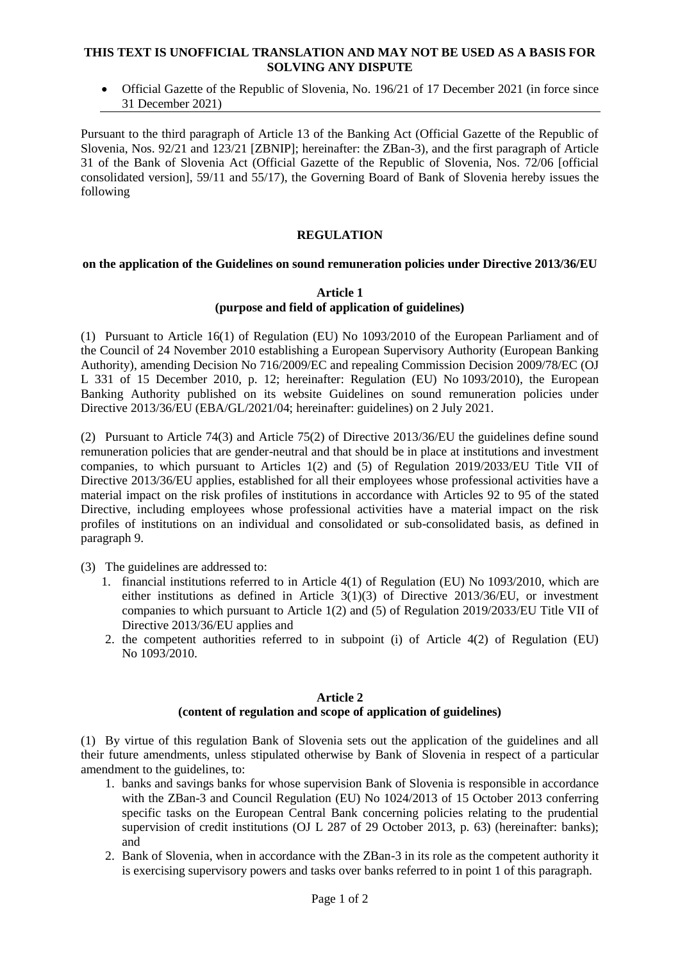## **THIS TEXT IS UNOFFICIAL TRANSLATION AND MAY NOT BE USED AS A BASIS FOR SOLVING ANY DISPUTE**

 Official Gazette of the Republic of Slovenia, No. 196/21 of 17 December 2021 (in force since 31 December 2021)

Pursuant to the third paragraph of Article 13 of the Banking Act (Official Gazette of the Republic of Slovenia, Nos. 92/21 and 123/21 [ZBNIP]; hereinafter: the ZBan-3), and the first paragraph of Article 31 of the Bank of Slovenia Act (Official Gazette of the Republic of Slovenia, Nos. 72/06 [official consolidated version], 59/11 and 55/17), the Governing Board of Bank of Slovenia hereby issues the following

# **REGULATION**

## **on the application of the Guidelines on sound remuneration policies under Directive 2013/36/EU**

## **Article 1 (purpose and field of application of guidelines)**

(1) Pursuant to Article 16(1) of Regulation (EU) No 1093/2010 of the European Parliament and of the Council of 24 November 2010 establishing a European Supervisory Authority (European Banking Authority), amending Decision No 716/2009/EC and repealing Commission Decision 2009/78/EC (OJ L 331 of 15 December 2010, p. 12; hereinafter: Regulation (EU) No 1093/2010), the European Banking Authority published on its website Guidelines on sound remuneration policies under Directive 2013/36/EU (EBA/GL/2021/04; hereinafter: guidelines) on 2 July 2021.

(2) Pursuant to Article 74(3) and Article 75(2) of Directive 2013/36/EU the guidelines define sound remuneration policies that are gender-neutral and that should be in place at institutions and investment companies, to which pursuant to Articles 1(2) and (5) of Regulation 2019/2033/EU Title VII of Directive 2013/36/EU applies, established for all their employees whose professional activities have a material impact on the risk profiles of institutions in accordance with Articles 92 to 95 of the stated Directive, including employees whose professional activities have a material impact on the risk profiles of institutions on an individual and consolidated or sub-consolidated basis, as defined in paragraph 9.

(3) The guidelines are addressed to:

- 1. financial institutions referred to in Article 4(1) of Regulation (EU) No 1093/2010, which are either institutions as defined in Article 3(1)(3) of Directive 2013/36/EU, or investment companies to which pursuant to Article 1(2) and (5) of Regulation 2019/2033/EU Title VII of Directive 2013/36/EU applies and
- 2. the competent authorities referred to in subpoint (i) of Article 4(2) of Regulation (EU) No 1093/2010.

#### **Article 2 (content of regulation and scope of application of guidelines)**

(1) By virtue of this regulation Bank of Slovenia sets out the application of the guidelines and all their future amendments, unless stipulated otherwise by Bank of Slovenia in respect of a particular amendment to the guidelines, to:

- 1. banks and savings banks for whose supervision Bank of Slovenia is responsible in accordance with the ZBan-3 and Council Regulation (EU) No  $1024/2013$  of 15 October 2013 conferring specific tasks on the European Central Bank concerning policies relating to the prudential supervision of credit institutions (OJ L 287 of 29 October 2013, p. 63) (hereinafter: banks); and
- 2. Bank of Slovenia, when in accordance with the ZBan-3 in its role as the competent authority it is exercising supervisory powers and tasks over banks referred to in point 1 of this paragraph.